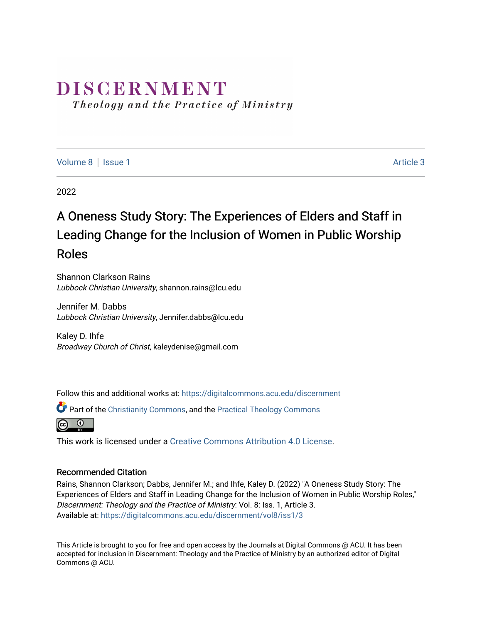# DISCERNMENT

Theology and the Practice of Ministry

[Volume 8](https://digitalcommons.acu.edu/discernment/vol8) | [Issue 1](https://digitalcommons.acu.edu/discernment/vol8/iss1) Article 3

2022

# A Oneness Study Story: The Experiences of Elders and Staff in Leading Change for the Inclusion of Women in Public Worship Roles

Shannon Clarkson Rains Lubbock Christian University, shannon.rains@lcu.edu

Jennifer M. Dabbs Lubbock Christian University, Jennifer.dabbs@lcu.edu

Kaley D. Ihfe Broadway Church of Christ, kaleydenise@gmail.com

Follow this and additional works at: [https://digitalcommons.acu.edu/discernment](https://digitalcommons.acu.edu/discernment?utm_source=digitalcommons.acu.edu%2Fdiscernment%2Fvol8%2Fiss1%2F3&utm_medium=PDF&utm_campaign=PDFCoverPages) 

Part of the [Christianity Commons,](https://network.bepress.com/hgg/discipline/1181?utm_source=digitalcommons.acu.edu%2Fdiscernment%2Fvol8%2Fiss1%2F3&utm_medium=PDF&utm_campaign=PDFCoverPages) and the [Practical Theology Commons](https://network.bepress.com/hgg/discipline/1186?utm_source=digitalcommons.acu.edu%2Fdiscernment%2Fvol8%2Fiss1%2F3&utm_medium=PDF&utm_campaign=PDFCoverPages) 



This work is licensed under a [Creative Commons Attribution 4.0 License](https://creativecommons.org/licenses/by/4.0/).

## Recommended Citation

Rains, Shannon Clarkson; Dabbs, Jennifer M.; and Ihfe, Kaley D. (2022) "A Oneness Study Story: The Experiences of Elders and Staff in Leading Change for the Inclusion of Women in Public Worship Roles," Discernment: Theology and the Practice of Ministry: Vol. 8: Iss. 1, Article 3. Available at: [https://digitalcommons.acu.edu/discernment/vol8/iss1/3](https://digitalcommons.acu.edu/discernment/vol8/iss1/3?utm_source=digitalcommons.acu.edu%2Fdiscernment%2Fvol8%2Fiss1%2F3&utm_medium=PDF&utm_campaign=PDFCoverPages) 

This Article is brought to you for free and open access by the Journals at Digital Commons @ ACU. It has been accepted for inclusion in Discernment: Theology and the Practice of Ministry by an authorized editor of Digital Commons @ ACU.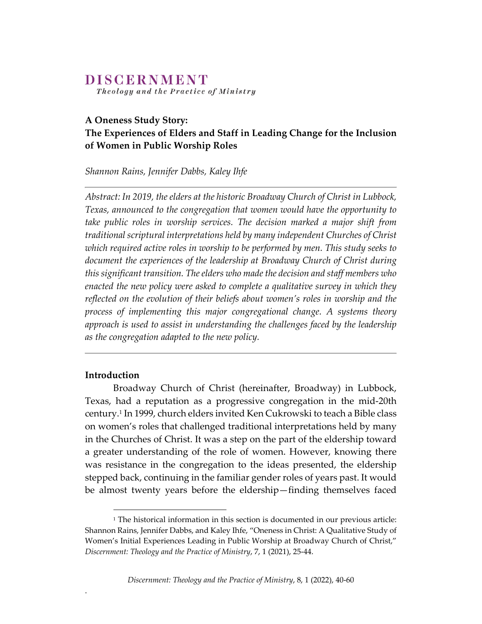# DISCERNMENT

Theology and the Practice of Ministry

### **A Oneness Study Story:**

# **The Experiences of Elders and Staff in Leading Change for the Inclusion of Women in Public Worship Roles**

*Shannon Rains, Jennifer Dabbs, Kaley Ihfe* 

*Abstract: In 2019, the elders at the historic Broadway Church of Christ in Lubbock, Texas, announced to the congregation that women would have the opportunity to take public roles in worship services. The decision marked a major shift from traditional scriptural interpretations held by many independent Churches of Christ which required active roles in worship to be performed by men. This study seeks to document the experiences of the leadership at Broadway Church of Christ during this significant transition. The elders who made the decision and staff members who enacted the new policy were asked to complete a qualitative survey in which they reflected on the evolution of their beliefs about women's roles in worship and the process of implementing this major congregational change. A systems theory approach is used to assist in understanding the challenges faced by the leadership as the congregation adapted to the new policy.*

#### **Introduction**

.

Broadway Church of Christ (hereinafter, Broadway) in Lubbock, Texas, had a reputation as a progressive congregation in the mid‐20th century.1 In 1999, church elders invited Ken Cukrowski to teach a Bible class on women's roles that challenged traditional interpretations held by many in the Churches of Christ. It was a step on the part of the eldership toward a greater understanding of the role of women. However, knowing there was resistance in the congregation to the ideas presented, the eldership stepped back, continuing in the familiar gender roles of years past. It would be almost twenty years before the eldership—finding themselves faced

<sup>&</sup>lt;sup>1</sup> The historical information in this section is documented in our previous article: Shannon Rains, Jennifer Dabbs, and Kaley Ihfe, "Oneness in Christ: A Qualitative Study of Women's Initial Experiences Leading in Public Worship at Broadway Church of Christ," *Discernment: Theology and the Practice of Ministry*, 7, 1 (2021), 25‐44.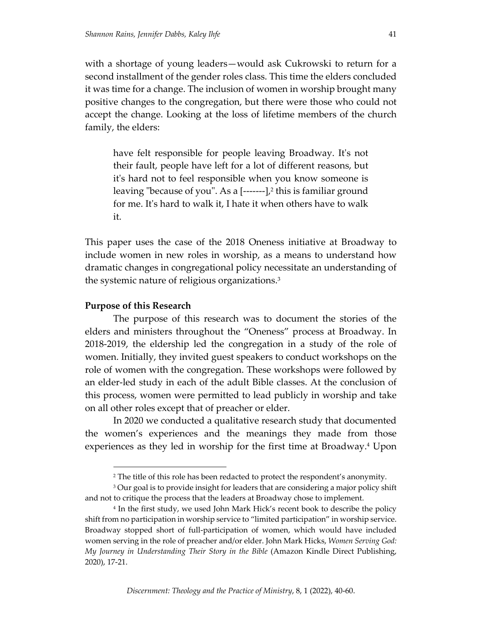with a shortage of young leaders—would ask Cukrowski to return for a second installment of the gender roles class. This time the elders concluded it was time for a change. The inclusion of women in worship brought many positive changes to the congregation, but there were those who could not accept the change. Looking at the loss of lifetime members of the church family, the elders:

have felt responsible for people leaving Broadway. Itʹs not their fault, people have left for a lot of different reasons, but it's hard not to feel responsible when you know someone is leaving "because of you". As a  $[---]-]$ <sup>2</sup> this is familiar ground for me. Itʹs hard to walk it, I hate it when others have to walk it.

This paper uses the case of the 2018 Oneness initiative at Broadway to include women in new roles in worship, as a means to understand how dramatic changes in congregational policy necessitate an understanding of the systemic nature of religious organizations.3

#### **Purpose of this Research**

The purpose of this research was to document the stories of the elders and ministers throughout the "Oneness" process at Broadway. In 2018‐2019, the eldership led the congregation in a study of the role of women. Initially, they invited guest speakers to conduct workshops on the role of women with the congregation. These workshops were followed by an elder‐led study in each of the adult Bible classes. At the conclusion of this process, women were permitted to lead publicly in worship and take on all other roles except that of preacher or elder.

In 2020 we conducted a qualitative research study that documented the women's experiences and the meanings they made from those experiences as they led in worship for the first time at Broadway.<sup>4</sup> Upon

<sup>2</sup> The title of this role has been redacted to protect the respondent's anonymity.

<sup>&</sup>lt;sup>3</sup> Our goal is to provide insight for leaders that are considering a major policy shift and not to critique the process that the leaders at Broadway chose to implement.

<sup>4</sup> In the first study, we used John Mark Hick's recent book to describe the policy shift from no participation in worship service to "limited participation" in worship service. Broadway stopped short of full‐participation of women, which would have included women serving in the role of preacher and/or elder. John Mark Hicks, *Women Serving God: My Journey in Understanding Their Story in the Bible* (Amazon Kindle Direct Publishing, 2020), 17‐21.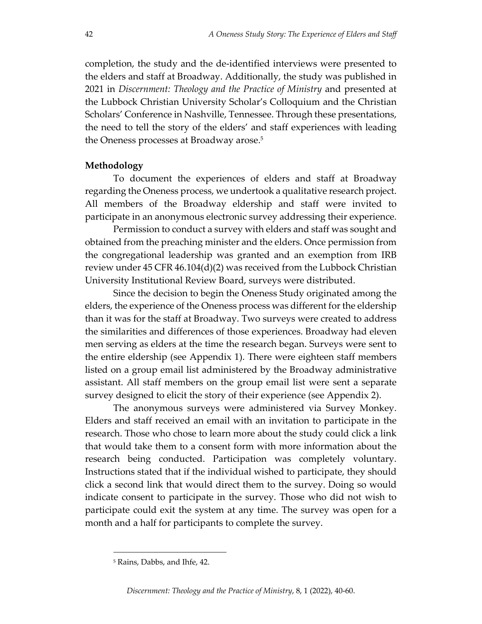completion, the study and the de‐identified interviews were presented to the elders and staff at Broadway. Additionally, the study was published in 2021 in *Discernment: Theology and the Practice of Ministry* and presented at the Lubbock Christian University Scholar's Colloquium and the Christian Scholars' Conference in Nashville, Tennessee. Through these presentations, the need to tell the story of the elders' and staff experiences with leading the Oneness processes at Broadway arose.<sup>5</sup>

#### **Methodology**

To document the experiences of elders and staff at Broadway regarding the Oneness process, we undertook a qualitative research project. All members of the Broadway eldership and staff were invited to participate in an anonymous electronic survey addressing their experience.

Permission to conduct a survey with elders and staff was sought and obtained from the preaching minister and the elders. Once permission from the congregational leadership was granted and an exemption from IRB review under 45 CFR 46.104(d)(2) was received from the Lubbock Christian University Institutional Review Board, surveys were distributed.

Since the decision to begin the Oneness Study originated among the elders, the experience of the Oneness process was different for the eldership than it was for the staff at Broadway. Two surveys were created to address the similarities and differences of those experiences. Broadway had eleven men serving as elders at the time the research began. Surveys were sent to the entire eldership (see Appendix 1). There were eighteen staff members listed on a group email list administered by the Broadway administrative assistant. All staff members on the group email list were sent a separate survey designed to elicit the story of their experience (see Appendix 2).

The anonymous surveys were administered via Survey Monkey. Elders and staff received an email with an invitation to participate in the research. Those who chose to learn more about the study could click a link that would take them to a consent form with more information about the research being conducted. Participation was completely voluntary. Instructions stated that if the individual wished to participate, they should click a second link that would direct them to the survey. Doing so would indicate consent to participate in the survey. Those who did not wish to participate could exit the system at any time. The survey was open for a month and a half for participants to complete the survey.

<sup>5</sup> Rains, Dabbs, and Ihfe, 42.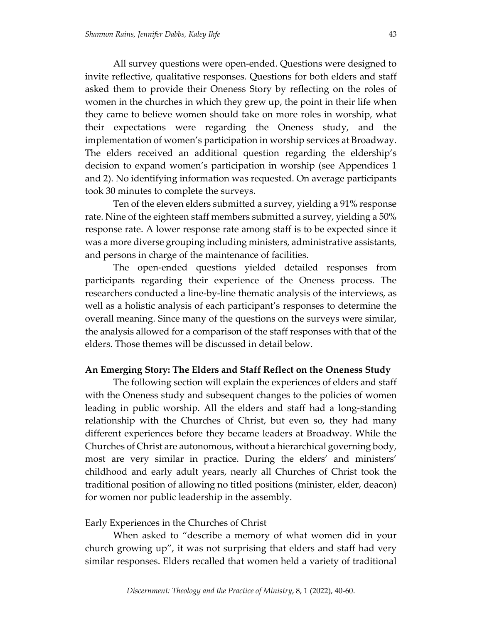All survey questions were open‐ended. Questions were designed to invite reflective, qualitative responses. Questions for both elders and staff asked them to provide their Oneness Story by reflecting on the roles of women in the churches in which they grew up, the point in their life when they came to believe women should take on more roles in worship, what their expectations were regarding the Oneness study, and the implementation of women's participation in worship services at Broadway. The elders received an additional question regarding the eldership's decision to expand women's participation in worship (see Appendices 1 and 2). No identifying information was requested. On average participants took 30 minutes to complete the surveys.

Ten of the eleven elders submitted a survey, yielding a 91% response rate. Nine of the eighteen staff members submitted a survey, yielding a 50% response rate. A lower response rate among staff is to be expected since it was a more diverse grouping including ministers, administrative assistants, and persons in charge of the maintenance of facilities.

The open-ended questions yielded detailed responses from participants regarding their experience of the Oneness process. The researchers conducted a line‐by‐line thematic analysis of the interviews, as well as a holistic analysis of each participant's responses to determine the overall meaning. Since many of the questions on the surveys were similar, the analysis allowed for a comparison of the staff responses with that of the elders. Those themes will be discussed in detail below.

#### **An Emerging Story: The Elders and Staff Reflect on the Oneness Study**

The following section will explain the experiences of elders and staff with the Oneness study and subsequent changes to the policies of women leading in public worship. All the elders and staff had a long‐standing relationship with the Churches of Christ, but even so, they had many different experiences before they became leaders at Broadway. While the Churches of Christ are autonomous, without a hierarchical governing body, most are very similar in practice. During the elders' and ministers' childhood and early adult years, nearly all Churches of Christ took the traditional position of allowing no titled positions (minister, elder, deacon) for women nor public leadership in the assembly.

#### Early Experiences in the Churches of Christ

When asked to "describe a memory of what women did in your church growing up", it was not surprising that elders and staff had very similar responses. Elders recalled that women held a variety of traditional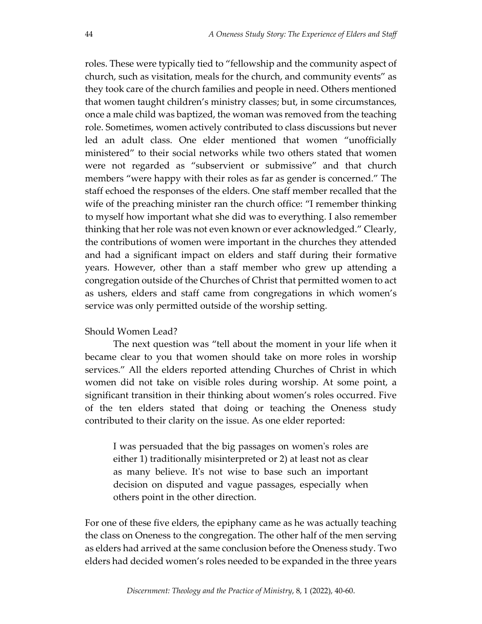roles. These were typically tied to "fellowship and the community aspect of church, such as visitation, meals for the church, and community events" as they took care of the church families and people in need. Others mentioned that women taught children's ministry classes; but, in some circumstances, once a male child was baptized, the woman was removed from the teaching role. Sometimes, women actively contributed to class discussions but never led an adult class. One elder mentioned that women "unofficially ministered" to their social networks while two others stated that women were not regarded as "subservient or submissive" and that church members "were happy with their roles as far as gender is concerned." The staff echoed the responses of the elders. One staff member recalled that the wife of the preaching minister ran the church office: "I remember thinking to myself how important what she did was to everything. I also remember thinking that her role was not even known or ever acknowledged." Clearly, the contributions of women were important in the churches they attended and had a significant impact on elders and staff during their formative years. However, other than a staff member who grew up attending a congregation outside of the Churches of Christ that permitted women to act as ushers, elders and staff came from congregations in which women's service was only permitted outside of the worship setting.

#### Should Women Lead?

The next question was "tell about the moment in your life when it became clear to you that women should take on more roles in worship services." All the elders reported attending Churches of Christ in which women did not take on visible roles during worship. At some point, a significant transition in their thinking about women's roles occurred. Five of the ten elders stated that doing or teaching the Oneness study contributed to their clarity on the issue. As one elder reported:

I was persuaded that the big passages on womenʹs roles are either 1) traditionally misinterpreted or 2) at least not as clear as many believe. Itʹs not wise to base such an important decision on disputed and vague passages, especially when others point in the other direction.

For one of these five elders, the epiphany came as he was actually teaching the class on Oneness to the congregation. The other half of the men serving as elders had arrived at the same conclusion before the Oneness study. Two elders had decided women's roles needed to be expanded in the three years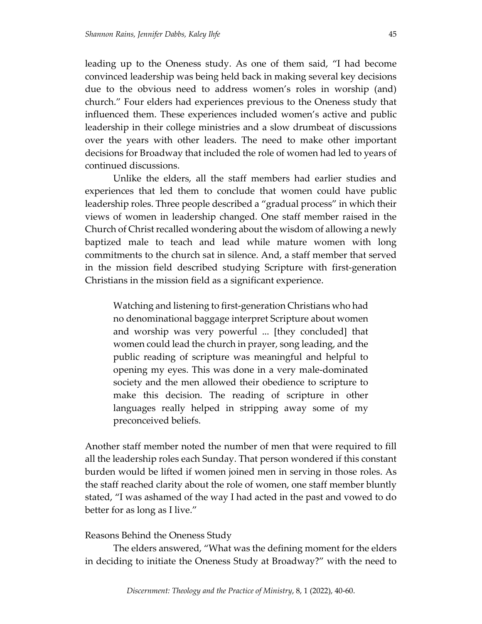leading up to the Oneness study. As one of them said, "I had become convinced leadership was being held back in making several key decisions due to the obvious need to address women's roles in worship (and) church." Four elders had experiences previous to the Oneness study that influenced them. These experiences included women's active and public leadership in their college ministries and a slow drumbeat of discussions over the years with other leaders. The need to make other important decisions for Broadway that included the role of women had led to years of continued discussions.

Unlike the elders, all the staff members had earlier studies and experiences that led them to conclude that women could have public leadership roles. Three people described a "gradual process" in which their views of women in leadership changed. One staff member raised in the Church of Christ recalled wondering about the wisdom of allowing a newly baptized male to teach and lead while mature women with long commitments to the church sat in silence. And, a staff member that served in the mission field described studying Scripture with first‐generation Christians in the mission field as a significant experience.

Watching and listening to first‐generation Christians who had no denominational baggage interpret Scripture about women and worship was very powerful ... [they concluded] that women could lead the church in prayer, song leading, and the public reading of scripture was meaningful and helpful to opening my eyes. This was done in a very male‐dominated society and the men allowed their obedience to scripture to make this decision. The reading of scripture in other languages really helped in stripping away some of my preconceived beliefs.

Another staff member noted the number of men that were required to fill all the leadership roles each Sunday. That person wondered if this constant burden would be lifted if women joined men in serving in those roles. As the staff reached clarity about the role of women, one staff member bluntly stated, "I was ashamed of the way I had acted in the past and vowed to do better for as long as I live."

#### Reasons Behind the Oneness Study

The elders answered, "What was the defining moment for the elders in deciding to initiate the Oneness Study at Broadway?" with the need to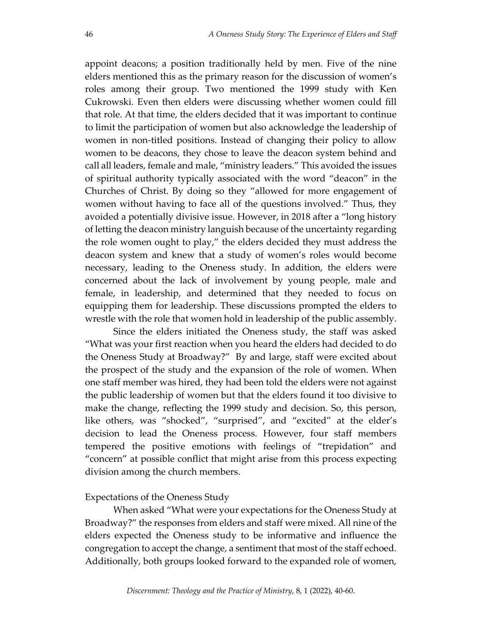appoint deacons; a position traditionally held by men. Five of the nine elders mentioned this as the primary reason for the discussion of women's roles among their group. Two mentioned the 1999 study with Ken Cukrowski. Even then elders were discussing whether women could fill that role. At that time, the elders decided that it was important to continue to limit the participation of women but also acknowledge the leadership of women in non-titled positions. Instead of changing their policy to allow women to be deacons, they chose to leave the deacon system behind and call all leaders, female and male, "ministry leaders." This avoided the issues of spiritual authority typically associated with the word "deacon" in the Churches of Christ. By doing so they "allowed for more engagement of women without having to face all of the questions involved." Thus, they avoided a potentially divisive issue. However, in 2018 after a "long history of letting the deacon ministry languish because of the uncertainty regarding the role women ought to play," the elders decided they must address the deacon system and knew that a study of women's roles would become necessary, leading to the Oneness study. In addition, the elders were concerned about the lack of involvement by young people, male and female, in leadership, and determined that they needed to focus on equipping them for leadership. These discussions prompted the elders to wrestle with the role that women hold in leadership of the public assembly.

Since the elders initiated the Oneness study, the staff was asked "What was your first reaction when you heard the elders had decided to do the Oneness Study at Broadway?" By and large, staff were excited about the prospect of the study and the expansion of the role of women. When one staff member was hired, they had been told the elders were not against the public leadership of women but that the elders found it too divisive to make the change, reflecting the 1999 study and decision. So, this person, like others, was "shocked", "surprised", and "excited" at the elder's decision to lead the Oneness process. However, four staff members tempered the positive emotions with feelings of "trepidation" and "concern" at possible conflict that might arise from this process expecting division among the church members.

#### Expectations of the Oneness Study

When asked "What were your expectations for the Oneness Study at Broadway?" the responses from elders and staff were mixed. All nine of the elders expected the Oneness study to be informative and influence the congregation to accept the change, a sentiment that most of the staff echoed. Additionally, both groups looked forward to the expanded role of women,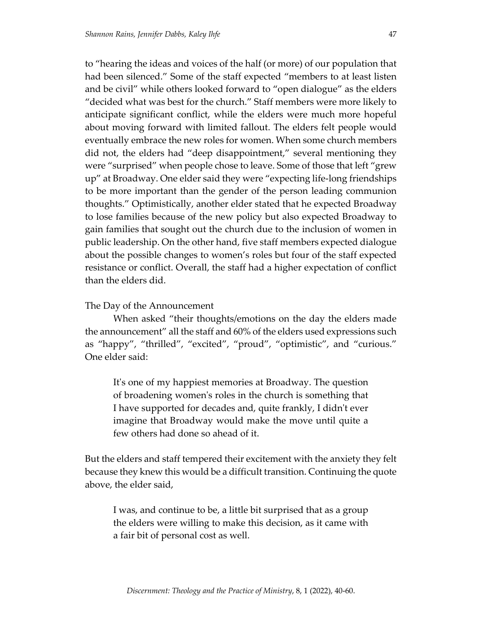to "hearing the ideas and voices of the half (or more) of our population that had been silenced." Some of the staff expected "members to at least listen and be civil" while others looked forward to "open dialogue" as the elders "decided what was best for the church." Staff members were more likely to anticipate significant conflict, while the elders were much more hopeful about moving forward with limited fallout. The elders felt people would eventually embrace the new roles for women. When some church members did not, the elders had "deep disappointment," several mentioning they were "surprised" when people chose to leave. Some of those that left "grew up" at Broadway. One elder said they were "expecting life‐long friendships to be more important than the gender of the person leading communion thoughts." Optimistically, another elder stated that he expected Broadway to lose families because of the new policy but also expected Broadway to gain families that sought out the church due to the inclusion of women in public leadership. On the other hand, five staff members expected dialogue about the possible changes to women's roles but four of the staff expected resistance or conflict. Overall, the staff had a higher expectation of conflict than the elders did.

### The Day of the Announcement

When asked "their thoughts/emotions on the day the elders made the announcement" all the staff and 60% of the elders used expressions such as "happy", "thrilled", "excited", "proud", "optimistic", and "curious." One elder said:

It's one of my happiest memories at Broadway. The question of broadening womenʹs roles in the church is something that I have supported for decades and, quite frankly, I didnʹt ever imagine that Broadway would make the move until quite a few others had done so ahead of it.

But the elders and staff tempered their excitement with the anxiety they felt because they knew this would be a difficult transition. Continuing the quote above, the elder said,

I was, and continue to be, a little bit surprised that as a group the elders were willing to make this decision, as it came with a fair bit of personal cost as well.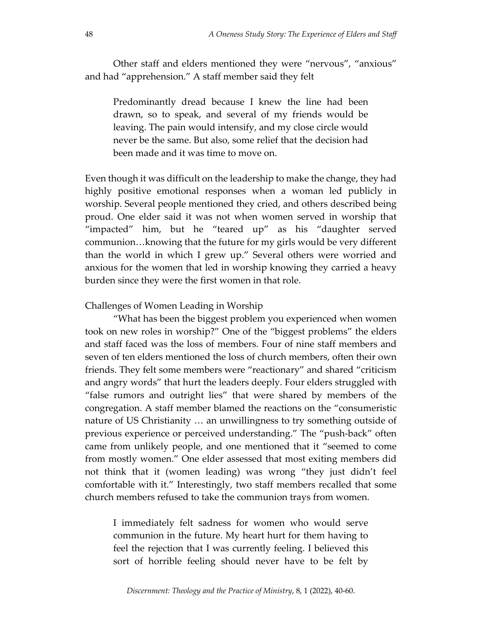Other staff and elders mentioned they were "nervous", "anxious" and had "apprehension." A staff member said they felt

Predominantly dread because I knew the line had been drawn, so to speak, and several of my friends would be leaving. The pain would intensify, and my close circle would never be the same. But also, some relief that the decision had been made and it was time to move on.

Even though it was difficult on the leadership to make the change, they had highly positive emotional responses when a woman led publicly in worship. Several people mentioned they cried, and others described being proud. One elder said it was not when women served in worship that "impacted" him, but he "teared up" as his "daughter served communion…knowing that the future for my girls would be very different than the world in which I grew up." Several others were worried and anxious for the women that led in worship knowing they carried a heavy burden since they were the first women in that role.

#### Challenges of Women Leading in Worship

"What has been the biggest problem you experienced when women took on new roles in worship?" One of the "biggest problems" the elders and staff faced was the loss of members. Four of nine staff members and seven of ten elders mentioned the loss of church members, often their own friends. They felt some members were "reactionary" and shared "criticism and angry words" that hurt the leaders deeply. Four elders struggled with "false rumors and outright lies" that were shared by members of the congregation. A staff member blamed the reactions on the "consumeristic nature of US Christianity … an unwillingness to try something outside of previous experience or perceived understanding." The "push‐back" often came from unlikely people, and one mentioned that it "seemed to come from mostly women." One elder assessed that most exiting members did not think that it (women leading) was wrong "they just didn't feel comfortable with it." Interestingly, two staff members recalled that some church members refused to take the communion trays from women.

I immediately felt sadness for women who would serve communion in the future. My heart hurt for them having to feel the rejection that I was currently feeling. I believed this sort of horrible feeling should never have to be felt by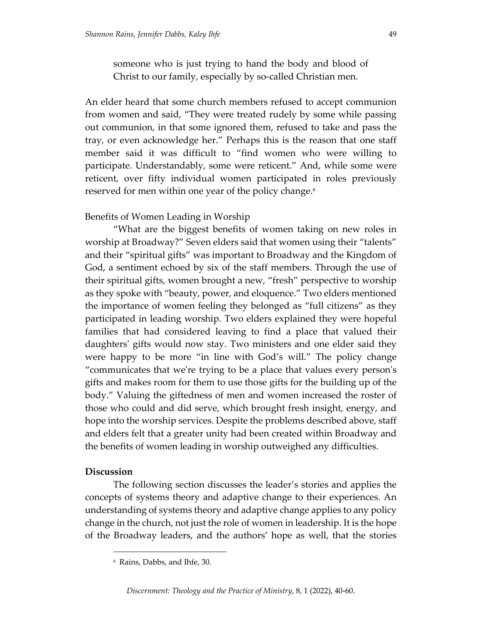someone who is just trying to hand the body and blood of Christ to our family, especially by so‐called Christian men.

An elder heard that some church members refused to accept communion from women and said, "They were treated rudely by some while passing out communion, in that some ignored them, refused to take and pass the tray, or even acknowledge her." Perhaps this is the reason that one staff member said it was difficult to "find women who were willing to participate. Understandably, some were reticent." And, while some were reticent, over fifty individual women participated in roles previously reserved for men within one year of the policy change.<sup>6</sup>

### Benefits of Women Leading in Worship

"What are the biggest benefits of women taking on new roles in worship at Broadway?" Seven elders said that women using their "talents" and their "spiritual gifts" was important to Broadway and the Kingdom of God, a sentiment echoed by six of the staff members. Through the use of their spiritual gifts, women brought a new, "fresh" perspective to worship as they spoke with "beauty, power, and eloquence." Two elders mentioned the importance of women feeling they belonged as "full citizens" as they participated in leading worship. Two elders explained they were hopeful families that had considered leaving to find a place that valued their daughtersʹ gifts would now stay. Two ministers and one elder said they were happy to be more "in line with God's will." The policy change "communicates that weʹre trying to be a place that values every personʹs gifts and makes room for them to use those gifts for the building up of the body." Valuing the giftedness of men and women increased the roster of those who could and did serve, which brought fresh insight, energy, and hope into the worship services. Despite the problems described above, staff and elders felt that a greater unity had been created within Broadway and the benefits of women leading in worship outweighed any difficulties.

### **Discussion**

The following section discusses the leader's stories and applies the concepts of systems theory and adaptive change to their experiences. An understanding of systems theory and adaptive change applies to any policy change in the church, not just the role of women in leadership. It is the hope of the Broadway leaders, and the authors' hope as well, that the stories

<sup>6</sup> Rains, Dabbs, and Ihfe, 30.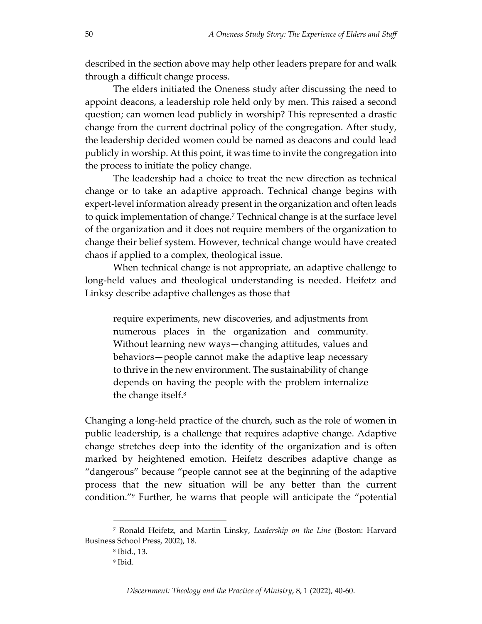described in the section above may help other leaders prepare for and walk through a difficult change process.

The elders initiated the Oneness study after discussing the need to appoint deacons, a leadership role held only by men. This raised a second question; can women lead publicly in worship? This represented a drastic change from the current doctrinal policy of the congregation. After study, the leadership decided women could be named as deacons and could lead publicly in worship. At this point, it was time to invite the congregation into the process to initiate the policy change.

The leadership had a choice to treat the new direction as technical change or to take an adaptive approach. Technical change begins with expert-level information already present in the organization and often leads to quick implementation of change.7 Technical change is at the surface level of the organization and it does not require members of the organization to change their belief system. However, technical change would have created chaos if applied to a complex, theological issue.

When technical change is not appropriate, an adaptive challenge to long‐held values and theological understanding is needed. Heifetz and Linksy describe adaptive challenges as those that

require experiments, new discoveries, and adjustments from numerous places in the organization and community. Without learning new ways—changing attitudes, values and behaviors—people cannot make the adaptive leap necessary to thrive in the new environment. The sustainability of change depends on having the people with the problem internalize the change itself.8

Changing a long‐held practice of the church, such as the role of women in public leadership, is a challenge that requires adaptive change. Adaptive change stretches deep into the identity of the organization and is often marked by heightened emotion. Heifetz describes adaptive change as "dangerous" because "people cannot see at the beginning of the adaptive process that the new situation will be any better than the current condition."9 Further, he warns that people will anticipate the "potential

<sup>7</sup> Ronald Heifetz, and Martin Linsky, *Leadership on the Line* (Boston: Harvard Business School Press, 2002), 18.

<sup>8</sup> Ibid., 13.

<sup>9</sup> Ibid.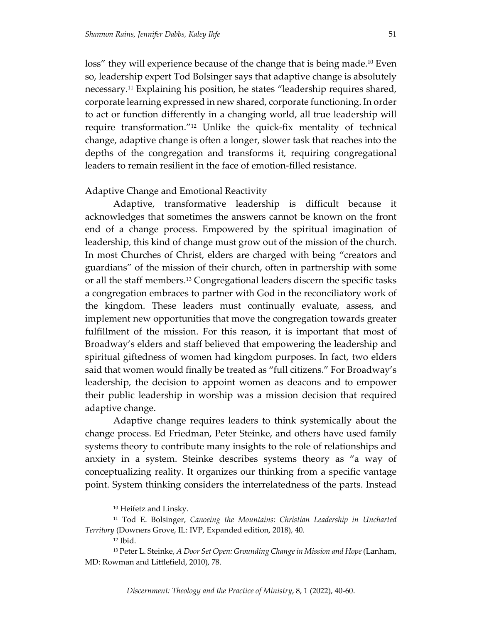loss" they will experience because of the change that is being made.10 Even so, leadership expert Tod Bolsinger says that adaptive change is absolutely necessary.11 Explaining his position, he states "leadership requires shared, corporate learning expressed in new shared, corporate functioning. In order to act or function differently in a changing world, all true leadership will require transformation."12 Unlike the quick‐fix mentality of technical change, adaptive change is often a longer, slower task that reaches into the depths of the congregation and transforms it, requiring congregational leaders to remain resilient in the face of emotion‐filled resistance.

#### Adaptive Change and Emotional Reactivity

Adaptive, transformative leadership is difficult because it acknowledges that sometimes the answers cannot be known on the front end of a change process. Empowered by the spiritual imagination of leadership, this kind of change must grow out of the mission of the church. In most Churches of Christ, elders are charged with being "creators and guardians" of the mission of their church, often in partnership with some or all the staff members.13 Congregational leaders discern the specific tasks a congregation embraces to partner with God in the reconciliatory work of the kingdom. These leaders must continually evaluate, assess, and implement new opportunities that move the congregation towards greater fulfillment of the mission. For this reason, it is important that most of Broadway's elders and staff believed that empowering the leadership and spiritual giftedness of women had kingdom purposes. In fact, two elders said that women would finally be treated as "full citizens." For Broadway's leadership, the decision to appoint women as deacons and to empower their public leadership in worship was a mission decision that required adaptive change.

Adaptive change requires leaders to think systemically about the change process. Ed Friedman, Peter Steinke, and others have used family systems theory to contribute many insights to the role of relationships and anxiety in a system. Steinke describes systems theory as "a way of conceptualizing reality. It organizes our thinking from a specific vantage point. System thinking considers the interrelatedness of the parts. Instead

<sup>10</sup> Heifetz and Linsky.

<sup>11</sup> Tod E. Bolsinger, *Canoeing the Mountains: Christian Leadership in Uncharted Territory* (Downers Grove, IL: IVP, Expanded edition, 2018), 40.

<sup>12</sup> Ibid.

<sup>13</sup> Peter L. Steinke, *A Door Set Open: Grounding Changein Mission and Hope*(Lanham, MD: Rowman and Littlefield, 2010), 78.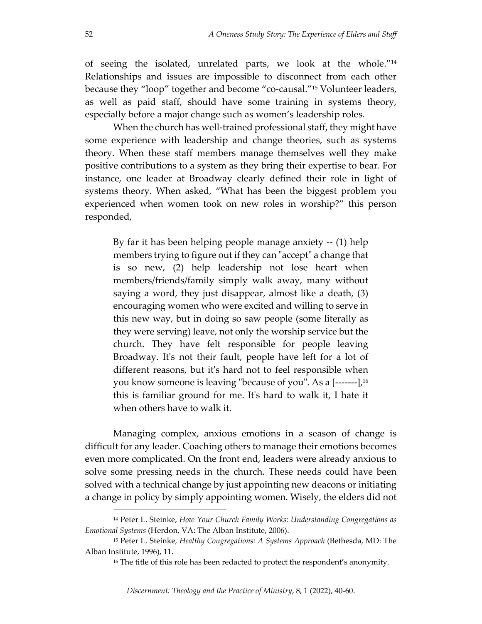of seeing the isolated, unrelated parts, we look at the whole."14 Relationships and issues are impossible to disconnect from each other because they "loop" together and become "co-causal."<sup>15</sup> Volunteer leaders, as well as paid staff, should have some training in systems theory, especially before a major change such as women's leadership roles.

When the church has well-trained professional staff, they might have some experience with leadership and change theories, such as systems theory. When these staff members manage themselves well they make positive contributions to a system as they bring their expertise to bear. For instance, one leader at Broadway clearly defined their role in light of systems theory. When asked, "What has been the biggest problem you experienced when women took on new roles in worship?" this person responded,

By far it has been helping people manage anxiety ‐‐ (1) help members trying to figure out if they can "accept" a change that is so new, (2) help leadership not lose heart when members/friends/family simply walk away, many without saying a word, they just disappear, almost like a death, (3) encouraging women who were excited and willing to serve in this new way, but in doing so saw people (some literally as they were serving) leave, not only the worship service but the church. They have felt responsible for people leaving Broadway. It's not their fault, people have left for a lot of different reasons, but it's hard not to feel responsible when you know someone is leaving "because of you". As a  $\left[-\frac{16}{16}\right]$ this is familiar ground for me. Itʹs hard to walk it, I hate it when others have to walk it.

Managing complex, anxious emotions in a season of change is difficult for any leader. Coaching others to manage their emotions becomes even more complicated. On the front end, leaders were already anxious to solve some pressing needs in the church. These needs could have been solved with a technical change by just appointing new deacons or initiating a change in policy by simply appointing women. Wisely, the elders did not

<sup>14</sup> Peter L. Steinke, *How Your Church Family Works: Understanding Congregations as Emotional Systems* (Herdon, VA: The Alban Institute, 2006).

<sup>15</sup> Peter L. Steinke, *Healthy Congregations: A Systems Approach* (Bethesda, MD: The Alban Institute, 1996), 11.

<sup>&</sup>lt;sup>16</sup> The title of this role has been redacted to protect the respondent's anonymity.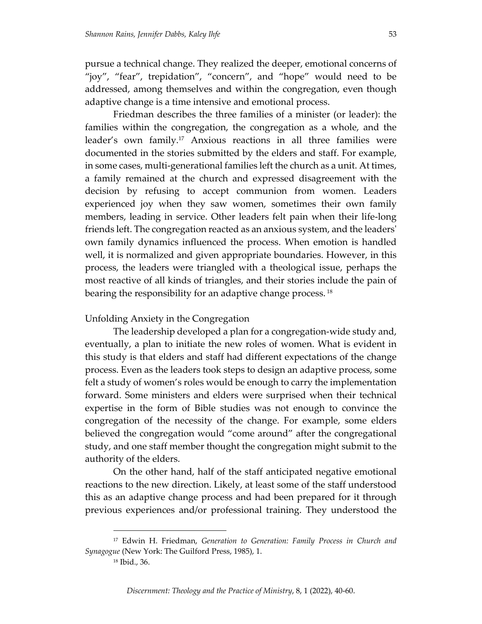pursue a technical change. They realized the deeper, emotional concerns of "joy", "fear", trepidation", "concern", and "hope" would need to be addressed, among themselves and within the congregation, even though adaptive change is a time intensive and emotional process.

Friedman describes the three families of a minister (or leader): the families within the congregation, the congregation as a whole, and the leader's own family.<sup>17</sup> Anxious reactions in all three families were documented in the stories submitted by the elders and staff. For example, in some cases, multi‐generational families left the church as a unit. At times, a family remained at the church and expressed disagreement with the decision by refusing to accept communion from women. Leaders experienced joy when they saw women, sometimes their own family members, leading in service. Other leaders felt pain when their life‐long friends left. The congregation reacted as an anxious system, and the leadersʹ own family dynamics influenced the process. When emotion is handled well, it is normalized and given appropriate boundaries. However, in this process, the leaders were triangled with a theological issue, perhaps the most reactive of all kinds of triangles, and their stories include the pain of bearing the responsibility for an adaptive change process.<sup>18</sup>

#### Unfolding Anxiety in the Congregation

The leadership developed a plan for a congregation‐wide study and, eventually, a plan to initiate the new roles of women. What is evident in this study is that elders and staff had different expectations of the change process. Even as the leaders took steps to design an adaptive process, some felt a study of women's roles would be enough to carry the implementation forward. Some ministers and elders were surprised when their technical expertise in the form of Bible studies was not enough to convince the congregation of the necessity of the change. For example, some elders believed the congregation would "come around" after the congregational study, and one staff member thought the congregation might submit to the authority of the elders.

On the other hand, half of the staff anticipated negative emotional reactions to the new direction. Likely, at least some of the staff understood this as an adaptive change process and had been prepared for it through previous experiences and/or professional training. They understood the

<sup>17</sup> Edwin H. Friedman, *Generation to Generation: Family Process in Church and Synagogue* (New York: The Guilford Press, 1985), 1.

<sup>18</sup> Ibid., 36.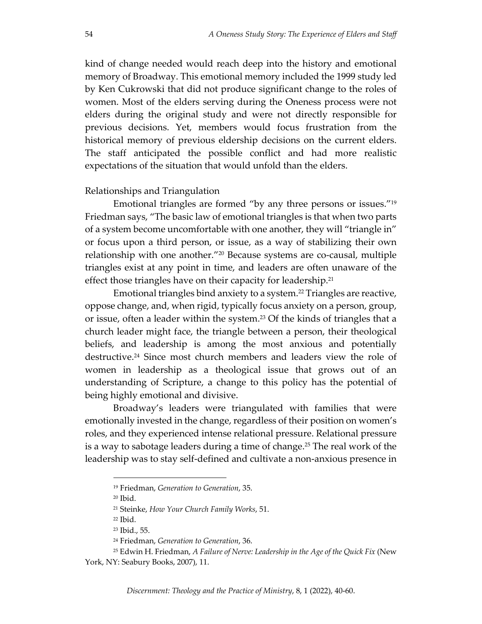kind of change needed would reach deep into the history and emotional memory of Broadway. This emotional memory included the 1999 study led by Ken Cukrowski that did not produce significant change to the roles of women. Most of the elders serving during the Oneness process were not elders during the original study and were not directly responsible for previous decisions. Yet, members would focus frustration from the historical memory of previous eldership decisions on the current elders. The staff anticipated the possible conflict and had more realistic expectations of the situation that would unfold than the elders.

#### Relationships and Triangulation

Emotional triangles are formed "by any three persons or issues."19 Friedman says, "The basic law of emotional triangles is that when two parts of a system become uncomfortable with one another, they will "triangle in" or focus upon a third person, or issue, as a way of stabilizing their own relationship with one another."<sup>20</sup> Because systems are co-causal, multiple triangles exist at any point in time, and leaders are often unaware of the effect those triangles have on their capacity for leadership.<sup>21</sup>

Emotional triangles bind anxiety to a system.<sup>22</sup> Triangles are reactive, oppose change, and, when rigid, typically focus anxiety on a person, group, or issue, often a leader within the system.23 Of the kinds of triangles that a church leader might face, the triangle between a person, their theological beliefs, and leadership is among the most anxious and potentially destructive.<sup>24</sup> Since most church members and leaders view the role of women in leadership as a theological issue that grows out of an understanding of Scripture, a change to this policy has the potential of being highly emotional and divisive.

Broadway's leaders were triangulated with families that were emotionally invested in the change, regardless of their position on women's roles, and they experienced intense relational pressure. Relational pressure is a way to sabotage leaders during a time of change.<sup>25</sup> The real work of the leadership was to stay self‐defined and cultivate a non‐anxious presence in

<sup>19</sup> Friedman, *Generation to Generation*, 35.

<sup>20</sup> Ibid.

<sup>21</sup> Steinke, *How Your Church Family Works*, 51.

<sup>22</sup> Ibid.

<sup>23</sup> Ibid., 55.

<sup>24</sup> Friedman, *Generation to Generation*, 36.

<sup>25</sup> Edwin H. Friedman, *A Failure of Nerve: Leadership in the Age of the Quick Fix* (New York, NY: Seabury Books, 2007), 11.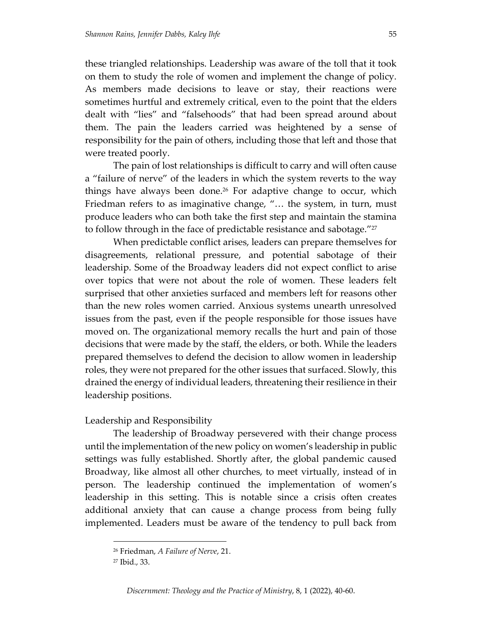these triangled relationships. Leadership was aware of the toll that it took on them to study the role of women and implement the change of policy. As members made decisions to leave or stay, their reactions were sometimes hurtful and extremely critical, even to the point that the elders dealt with "lies" and "falsehoods" that had been spread around about them. The pain the leaders carried was heightened by a sense of responsibility for the pain of others, including those that left and those that were treated poorly.

The pain of lost relationships is difficult to carry and will often cause a "failure of nerve" of the leaders in which the system reverts to the way things have always been done.<sup>26</sup> For adaptive change to occur, which Friedman refers to as imaginative change, "… the system, in turn, must produce leaders who can both take the first step and maintain the stamina to follow through in the face of predictable resistance and sabotage."<sup>27</sup>

When predictable conflict arises, leaders can prepare themselves for disagreements, relational pressure, and potential sabotage of their leadership. Some of the Broadway leaders did not expect conflict to arise over topics that were not about the role of women. These leaders felt surprised that other anxieties surfaced and members left for reasons other than the new roles women carried. Anxious systems unearth unresolved issues from the past, even if the people responsible for those issues have moved on. The organizational memory recalls the hurt and pain of those decisions that were made by the staff, the elders, or both. While the leaders prepared themselves to defend the decision to allow women in leadership roles, they were not prepared for the other issues that surfaced. Slowly, this drained the energy of individual leaders, threatening their resilience in their leadership positions.

#### Leadership and Responsibility

The leadership of Broadway persevered with their change process until the implementation of the new policy on women's leadership in public settings was fully established. Shortly after, the global pandemic caused Broadway, like almost all other churches, to meet virtually, instead of in person. The leadership continued the implementation of women's leadership in this setting. This is notable since a crisis often creates additional anxiety that can cause a change process from being fully implemented. Leaders must be aware of the tendency to pull back from

<sup>26</sup> Friedman, *A Failure of Nerve*, 21.

<sup>27</sup> Ibid., 33.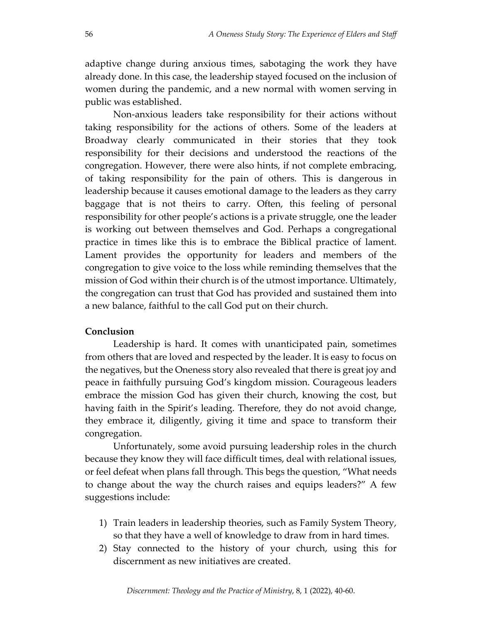adaptive change during anxious times, sabotaging the work they have already done. In this case, the leadership stayed focused on the inclusion of women during the pandemic, and a new normal with women serving in public was established.

Non‐anxious leaders take responsibility for their actions without taking responsibility for the actions of others. Some of the leaders at Broadway clearly communicated in their stories that they took responsibility for their decisions and understood the reactions of the congregation. However, there were also hints, if not complete embracing, of taking responsibility for the pain of others. This is dangerous in leadership because it causes emotional damage to the leaders as they carry baggage that is not theirs to carry. Often, this feeling of personal responsibility for other people's actions is a private struggle, one the leader is working out between themselves and God. Perhaps a congregational practice in times like this is to embrace the Biblical practice of lament. Lament provides the opportunity for leaders and members of the congregation to give voice to the loss while reminding themselves that the mission of God within their church is of the utmost importance. Ultimately, the congregation can trust that God has provided and sustained them into a new balance, faithful to the call God put on their church.

### **Conclusion**

Leadership is hard. It comes with unanticipated pain, sometimes from others that are loved and respected by the leader. It is easy to focus on the negatives, but the Oneness story also revealed that there is great joy and peace in faithfully pursuing God's kingdom mission. Courageous leaders embrace the mission God has given their church, knowing the cost, but having faith in the Spirit's leading. Therefore, they do not avoid change, they embrace it, diligently, giving it time and space to transform their congregation.

Unfortunately, some avoid pursuing leadership roles in the church because they know they will face difficult times, deal with relational issues, or feel defeat when plans fall through. This begs the question, "What needs to change about the way the church raises and equips leaders?" A few suggestions include:

- 1) Train leaders in leadership theories, such as Family System Theory, so that they have a well of knowledge to draw from in hard times.
- 2) Stay connected to the history of your church, using this for discernment as new initiatives are created.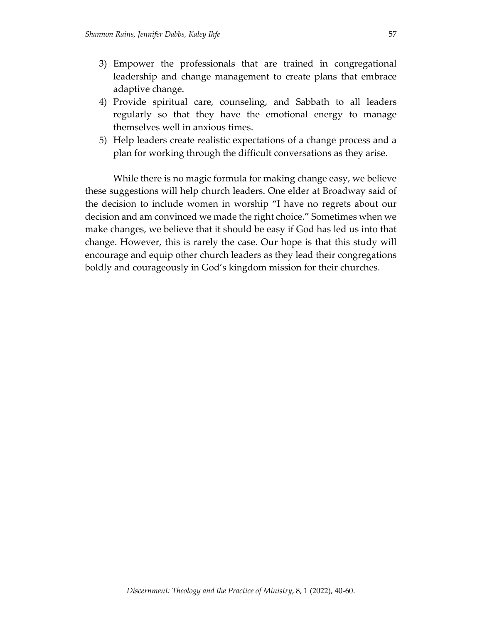- 3) Empower the professionals that are trained in congregational leadership and change management to create plans that embrace adaptive change.
- 4) Provide spiritual care, counseling, and Sabbath to all leaders regularly so that they have the emotional energy to manage themselves well in anxious times.
- 5) Help leaders create realistic expectations of a change process and a plan for working through the difficult conversations as they arise.

While there is no magic formula for making change easy, we believe these suggestions will help church leaders. One elder at Broadway said of the decision to include women in worship "I have no regrets about our decision and am convinced we made the right choice." Sometimes when we make changes, we believe that it should be easy if God has led us into that change. However, this is rarely the case. Our hope is that this study will encourage and equip other church leaders as they lead their congregations boldly and courageously in God's kingdom mission for their churches.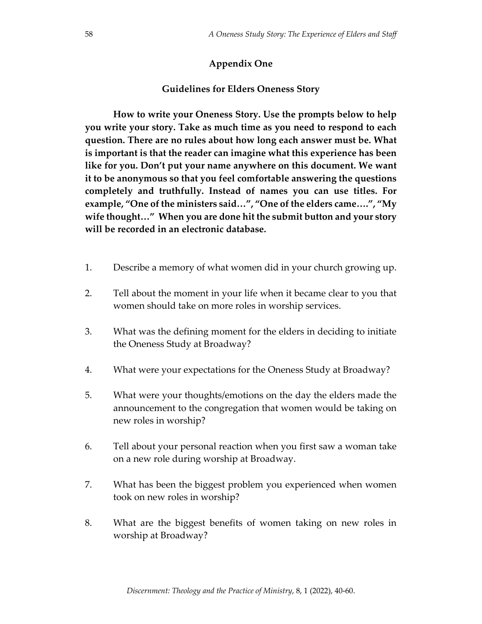## **Appendix One**

#### **Guidelines for Elders Oneness Story**

**How to write your Oneness Story. Use the prompts below to help you write your story. Take as much time as you need to respond to each question. There are no rules about how long each answer must be. What is important is that the reader can imagine what this experience has been like for you. Don't put your name anywhere on this document. We want it to be anonymous so that you feel comfortable answering the questions completely and truthfully. Instead of names you can use titles. For example, "One of the ministers said…", "One of the elders came….", "My wife thought…" When you are done hit the submit button and your story will be recorded in an electronic database.** 

- 1. Describe a memory of what women did in your church growing up.
- 2. Tell about the moment in your life when it became clear to you that women should take on more roles in worship services.
- 3. What was the defining moment for the elders in deciding to initiate the Oneness Study at Broadway?
- 4. What were your expectations for the Oneness Study at Broadway?
- 5. What were your thoughts/emotions on the day the elders made the announcement to the congregation that women would be taking on new roles in worship?
- 6. Tell about your personal reaction when you first saw a woman take on a new role during worship at Broadway.
- 7. What has been the biggest problem you experienced when women took on new roles in worship?
- 8. What are the biggest benefits of women taking on new roles in worship at Broadway?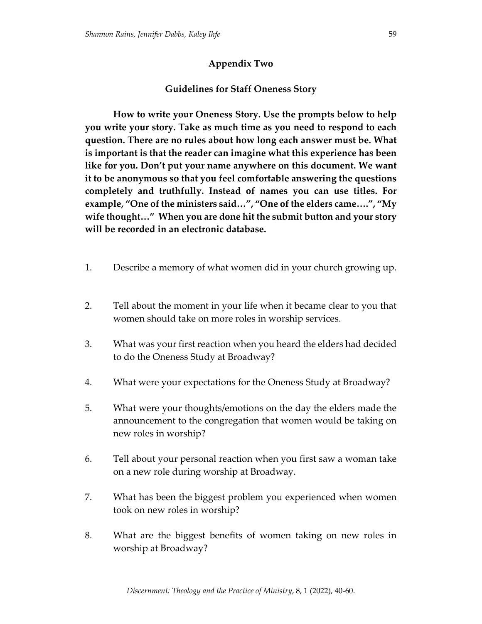# **Appendix Two**

## **Guidelines for Staff Oneness Story**

**How to write your Oneness Story. Use the prompts below to help you write your story. Take as much time as you need to respond to each question. There are no rules about how long each answer must be. What is important is that the reader can imagine what this experience has been like for you. Don't put your name anywhere on this document. We want it to be anonymous so that you feel comfortable answering the questions completely and truthfully. Instead of names you can use titles. For example, "One of the ministers said…", "One of the elders came….", "My wife thought…" When you are done hit the submit button and your story will be recorded in an electronic database.** 

- 1. Describe a memory of what women did in your church growing up.
- 2. Tell about the moment in your life when it became clear to you that women should take on more roles in worship services.
- 3. What was your first reaction when you heard the elders had decided to do the Oneness Study at Broadway?
- 4. What were your expectations for the Oneness Study at Broadway?
- 5. What were your thoughts/emotions on the day the elders made the announcement to the congregation that women would be taking on new roles in worship?
- 6. Tell about your personal reaction when you first saw a woman take on a new role during worship at Broadway.
- 7. What has been the biggest problem you experienced when women took on new roles in worship?
- 8. What are the biggest benefits of women taking on new roles in worship at Broadway?